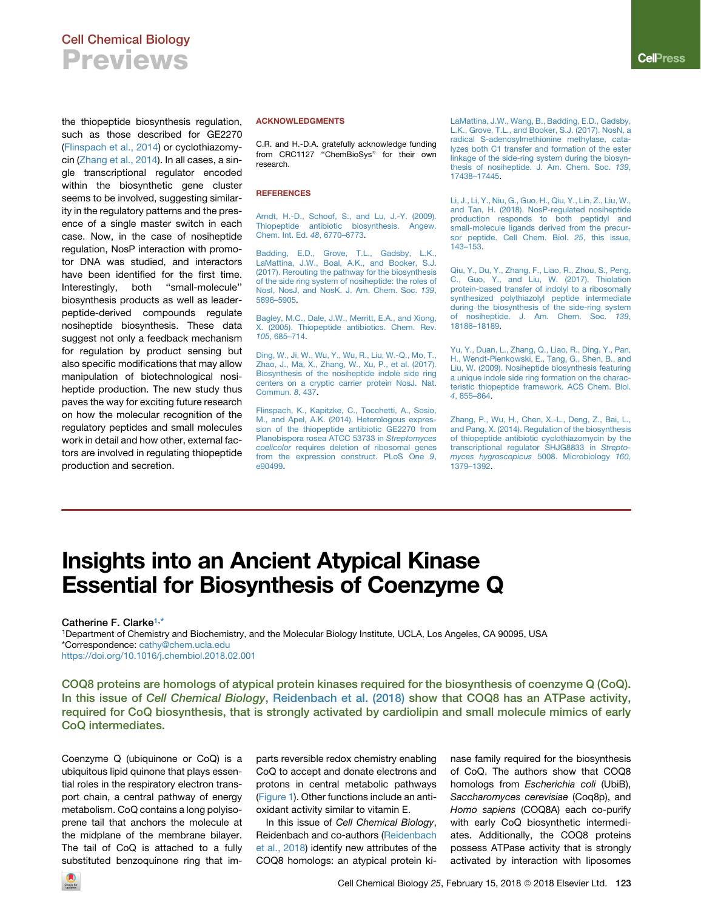# Cell Chemical Biology Previews

the thiopeptide biosynthesis regulation, such as those described for GE2270 (Flinspach et al., 2014) or cyclothiazomycin (Zhang et al., 2014). In all cases, a single transcriptional regulator encoded within the biosynthetic gene cluster seems to be involved, suggesting similarity in the regulatory patterns and the presence of a single master switch in each case. Now, in the case of nosiheptide regulation, NosP interaction with promotor DNA was studied, and interactors have been identified for the first time. Interestingly, both ''small-molecule'' biosynthesis products as well as leaderpeptide-derived compounds regulate nosiheptide biosynthesis. These data suggest not only a feedback mechanism for regulation by product sensing but also specific modifications that may allow manipulation of biotechnological nosiheptide production. The new study thus paves the way for exciting future research on how the molecular recognition of the regulatory peptides and small molecules work in detail and how other, external factors are involved in regulating thiopeptide production and secretion.

#### ACKNOWLEDGMENTS

C.R. and H.-D.A. gratefully acknowledge funding from CRC1127 ''ChemBioSys'' for their own research.

### **REFERENCES**

[Arndt, H.-D., Schoof, S., and Lu, J.-Y. \(2009\).](http://refhub.elsevier.com/S2451-9456(18)30039-4/sref1) [Thiopeptide antibiotic biosynthesis. Angew.](http://refhub.elsevier.com/S2451-9456(18)30039-4/sref1) [Chem. Int. Ed.](http://refhub.elsevier.com/S2451-9456(18)30039-4/sref1) *48*, 6770–6773.

[Badding, E.D., Grove, T.L., Gadsby, L.K.,](http://refhub.elsevier.com/S2451-9456(18)30039-4/sref2) [LaMattina, J.W., Boal, A.K., and Booker, S.J.](http://refhub.elsevier.com/S2451-9456(18)30039-4/sref2) [\(2017\). Rerouting the pathway for the biosynthesis](http://refhub.elsevier.com/S2451-9456(18)30039-4/sref2) [of the side ring system of nosiheptide: the roles of](http://refhub.elsevier.com/S2451-9456(18)30039-4/sref2) [NosI, NosJ, and NosK. J. Am. Chem. Soc.](http://refhub.elsevier.com/S2451-9456(18)30039-4/sref2) *139*, [5896–5905.](http://refhub.elsevier.com/S2451-9456(18)30039-4/sref2)

[Bagley, M.C., Dale, J.W., Merritt, E.A., and Xiong,](http://refhub.elsevier.com/S2451-9456(18)30039-4/sref3) [X. \(2005\). Thiopeptide antibiotics. Chem. Rev.](http://refhub.elsevier.com/S2451-9456(18)30039-4/sref3) *105*[, 685–714.](http://refhub.elsevier.com/S2451-9456(18)30039-4/sref3)

[Ding, W., Ji, W., Wu, Y., Wu, R., Liu, W.-Q., Mo, T.,](http://refhub.elsevier.com/S2451-9456(18)30039-4/sref4) [Zhao, J., Ma, X., Zhang, W., Xu, P., et al. \(2017\).](http://refhub.elsevier.com/S2451-9456(18)30039-4/sref4) [Biosynthesis of the nosiheptide indole side ring](http://refhub.elsevier.com/S2451-9456(18)30039-4/sref4) [centers on a cryptic carrier protein NosJ. Nat.](http://refhub.elsevier.com/S2451-9456(18)30039-4/sref4) [Commun.](http://refhub.elsevier.com/S2451-9456(18)30039-4/sref4) *8*, 437.

[Flinspach, K., Kapitzke, C., Tocchetti, A., Sosio,](http://refhub.elsevier.com/S2451-9456(18)30039-4/sref5) [M., and Apel, A.K. \(2014\). Heterologous expres](http://refhub.elsevier.com/S2451-9456(18)30039-4/sref5)[sion of the thiopeptide antibiotic GE2270 from](http://refhub.elsevier.com/S2451-9456(18)30039-4/sref5) [Planobispora rosea ATCC 53733 in](http://refhub.elsevier.com/S2451-9456(18)30039-4/sref5) *Streptomyces coelicolor* [requires deletion of ribosomal genes](http://refhub.elsevier.com/S2451-9456(18)30039-4/sref5) [from the expression construct. PLoS One](http://refhub.elsevier.com/S2451-9456(18)30039-4/sref5) *9*, [e90499.](http://refhub.elsevier.com/S2451-9456(18)30039-4/sref5)

[LaMattina, J.W., Wang, B., Badding, E.D., Gadsby,](http://refhub.elsevier.com/S2451-9456(18)30039-4/sref6) [L.K., Grove, T.L., and Booker, S.J. \(2017\). NosN, a](http://refhub.elsevier.com/S2451-9456(18)30039-4/sref6) [radical S-adenosylmethionine methylase, cata](http://refhub.elsevier.com/S2451-9456(18)30039-4/sref6)[lyzes both C1 transfer and formation of the ester](http://refhub.elsevier.com/S2451-9456(18)30039-4/sref6) [linkage of the side-ring system during the biosyn](http://refhub.elsevier.com/S2451-9456(18)30039-4/sref6)[thesis of nosiheptide. J. Am. Chem. Soc.](http://refhub.elsevier.com/S2451-9456(18)30039-4/sref6) *139*, [17438–17445.](http://refhub.elsevier.com/S2451-9456(18)30039-4/sref6)

[Li, J., Li, Y., Niu, G., Guo, H., Qiu, Y., Lin, Z., Liu, W.,](http://refhub.elsevier.com/S2451-9456(18)30039-4/sref7) [and Tan, H. \(2018\). NosP-regulated nosiheptide](http://refhub.elsevier.com/S2451-9456(18)30039-4/sref7) [production responds to both peptidyl and](http://refhub.elsevier.com/S2451-9456(18)30039-4/sref7) [small-molecule ligands derived from the precur](http://refhub.elsevier.com/S2451-9456(18)30039-4/sref7)[sor peptide. Cell Chem. Biol.](http://refhub.elsevier.com/S2451-9456(18)30039-4/sref7) *25*, this issue, [143–153](http://refhub.elsevier.com/S2451-9456(18)30039-4/sref7).

[Qiu, Y., Du, Y., Zhang, F., Liao, R., Zhou, S., Peng,](http://refhub.elsevier.com/S2451-9456(18)30039-4/sref8) [C., Guo, Y., and Liu, W. \(2017\). Thiolation](http://refhub.elsevier.com/S2451-9456(18)30039-4/sref8) [protein-based transfer of indolyl to a ribosomally](http://refhub.elsevier.com/S2451-9456(18)30039-4/sref8) [synthesized polythiazolyl peptide intermediate](http://refhub.elsevier.com/S2451-9456(18)30039-4/sref8) [during the biosynthesis of the side-ring system](http://refhub.elsevier.com/S2451-9456(18)30039-4/sref8) [of nosiheptide. J. Am. Chem. Soc.](http://refhub.elsevier.com/S2451-9456(18)30039-4/sref8) *139*, [18186–18189.](http://refhub.elsevier.com/S2451-9456(18)30039-4/sref8)

[Yu, Y., Duan, L., Zhang, Q., Liao, R., Ding, Y., Pan,](http://refhub.elsevier.com/S2451-9456(18)30039-4/sref9) [H., Wendt-Pienkowski, E., Tang, G., Shen, B., and](http://refhub.elsevier.com/S2451-9456(18)30039-4/sref9) [Liu, W. \(2009\). Nosiheptide biosynthesis featuring](http://refhub.elsevier.com/S2451-9456(18)30039-4/sref9) [a unique indole side ring formation on the charac](http://refhub.elsevier.com/S2451-9456(18)30039-4/sref9)[teristic thiopeptide framework. ACS Chem. Biol.](http://refhub.elsevier.com/S2451-9456(18)30039-4/sref9) *4*[, 855–864](http://refhub.elsevier.com/S2451-9456(18)30039-4/sref9).

[Zhang, P., Wu, H., Chen, X.-L., Deng, Z., Bai, L.,](http://refhub.elsevier.com/S2451-9456(18)30039-4/sref10) [and Pang, X. \(2014\). Regulation of the biosynthesis](http://refhub.elsevier.com/S2451-9456(18)30039-4/sref10) [of thiopeptide antibiotic cyclothiazomycin by the](http://refhub.elsevier.com/S2451-9456(18)30039-4/sref10) [transcriptional regulator SHJG8833 in](http://refhub.elsevier.com/S2451-9456(18)30039-4/sref10) *Strepto[myces hygroscopicus](http://refhub.elsevier.com/S2451-9456(18)30039-4/sref10)* 5008. Microbiology *160*, [1379–1392](http://refhub.elsevier.com/S2451-9456(18)30039-4/sref10).

# Insights into an Ancient Atypical Kinase Essential for Biosynthesis of Coenzyme Q

### Catherine F. Clarke<sup>1,\*</sup>

1Department of Chemistry and Biochemistry, and the Molecular Biology Institute, UCLA, Los Angeles, CA 90095, USA \*Correspondence: [cathy@chem.ucla.edu](mailto:cathy@chem.ucla.edu) <https://doi.org/10.1016/j.chembiol.2018.02.001>

COQ8 proteins are homologs of atypical protein kinases required for the biosynthesis of coenzyme Q (CoQ). In this issue of Cell Chemical Biology, [Reidenbach et al. \(2018\)](#page-2-0) show that COQ8 has an ATPase activity, required for CoQ biosynthesis, that is strongly activated by cardiolipin and small molecule mimics of early CoQ intermediates.

Coenzyme Q (ubiquinone or CoQ) is a ubiquitous lipid quinone that plays essential roles in the respiratory electron transport chain, a central pathway of energy metabolism. CoQ contains a long polyisoprene tail that anchors the molecule at the midplane of the membrane bilayer. The tail of CoQ is attached to a fully substituted benzoquinone ring that imparts reversible redox chemistry enabling CoQ to accept and donate electrons and protons in central metabolic pathways ([Figure 1\)](#page-1-0). Other functions include an antioxidant activity similar to vitamin E.

In this issue of *Cell Chemical Biology*, Reidenbach and co-authors [\(Reidenbach](#page-2-0) [et al., 2018\)](#page-2-0) identify new attributes of the COQ8 homologs: an atypical protein kinase family required for the biosynthesis of CoQ. The authors show that COQ8 homologs from *Escherichia coli* (UbiB), *Saccharomyces cerevisiae* (Coq8p), and *Homo sapiens* (COQ8A) each co-purify with early CoQ biosynthetic intermediates. Additionally, the COQ8 proteins possess ATPase activity that is strongly activated by interaction with liposomes

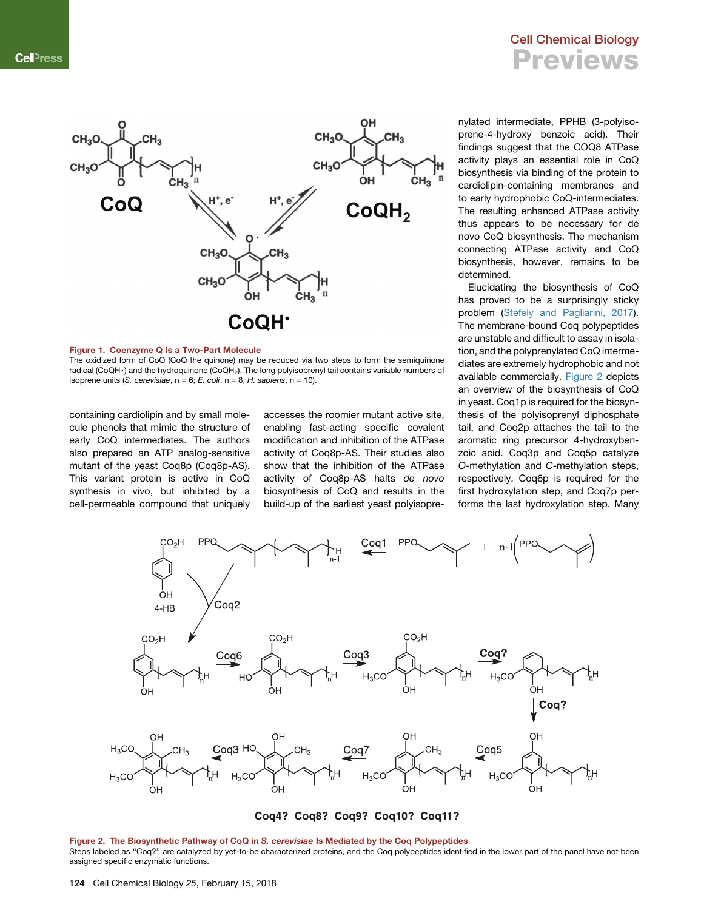<span id="page-1-0"></span>

### Figure 1. Coenzyme Q Is a Two-Part Molecule

The oxidized form of CoQ (CoQ the quinone) may be reduced via two steps to form the semiquinone radical (CoQH $\cdot$ ) and the hydroquinone (CoQH<sub>2</sub>). The long polyisoprenyl tail contains variable numbers of isoprene units (*S. cerevisiae*, n = 6; *E. coli*, n = 8; *H. sapiens*, n = 10).

containing cardiolipin and by small molecule phenols that mimic the structure of early CoQ intermediates. The authors also prepared an ATP analog-sensitive mutant of the yeast Coq8p (Coq8p-AS). This variant protein is active in CoQ synthesis in vivo, but inhibited by a cell-permeable compound that uniquely

accesses the roomier mutant active site, enabling fast-acting specific covalent modification and inhibition of the ATPase activity of Coq8p-AS. Their studies also show that the inhibition of the ATPase activity of Coq8p-AS halts *de novo* biosynthesis of CoQ and results in the build-up of the earliest yeast polyisopre-

## Cell Chemical Biology Previews

nylated intermediate, PPHB (3-polyisoprene-4-hydroxy benzoic acid). Their findings suggest that the COQ8 ATPase activity plays an essential role in CoQ biosynthesis via binding of the protein to cardiolipin-containing membranes and to early hydrophobic CoQ-intermediates. The resulting enhanced ATPase activity thus appears to be necessary for de novo CoQ biosynthesis. The mechanism connecting ATPase activity and CoQ biosynthesis, however, remains to be determined.

Elucidating the biosynthesis of CoQ has proved to be a surprisingly sticky problem ([Stefely and Pagliarini, 2017](#page-2-0)). The membrane-bound Coq polypeptides are unstable and difficult to assay in isolation, and the polyprenylated CoQ intermediates are extremely hydrophobic and not available commercially. Figure 2 depicts an overview of the biosynthesis of CoQ in yeast. Coq1p is required for the biosynthesis of the polyisoprenyl diphosphate tail, and Coq2p attaches the tail to the aromatic ring precursor 4-hydroxybenzoic acid. Coq3p and Coq5p catalyze *O*-methylation and *C*-methylation steps, respectively. Coq6p is required for the first hydroxylation step, and Coq7p performs the last hydroxylation step. Many



Coq4? Coq8? Coq9? Coq10? Coq11?

Figure 2. The Biosynthetic Pathway of CoQ in S. cerevisiae Is Mediated by the Coq Polypeptides Steps labeled as "Coq?" are catalyzed by yet-to-be characterized proteins, and the Coq polypeptides identified in the lower part of the panel have not been assigned specific enzymatic functions.